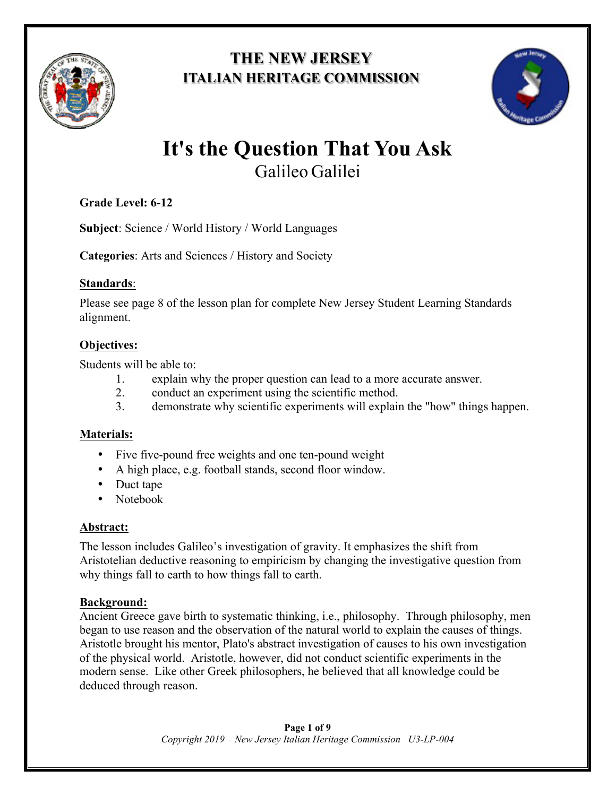

# **THE NEW JERSEY ITALIAN HERITAGE COMMISSION**



# **It's the Question That You Ask** Galileo Galilei

# **Grade Level: 6-12**

**Subject**: Science / World History / World Languages

**Categories**: Arts and Sciences / History and Society

### **Standards**:

Please see page 8 of the lesson plan for complete New Jersey Student Learning Standards alignment.

# **Objectives:**

Students will be able to:

- 1. explain why the proper question can lead to a more accurate answer.
- 2. conduct an experiment using the scientific method.
- 3. demonstrate why scientific experiments will explain the "how" things happen.

# **Materials:**

- Five five-pound free weights and one ten-pound weight
- A high place, e.g. football stands, second floor window.
- Duct tape
- Notebook

# **Abstract:**

The lesson includes Galileo's investigation of gravity. It emphasizes the shift from Aristotelian deductive reasoning to empiricism by changing the investigative question from why things fall to earth to how things fall to earth.

# **Background:**

Ancient Greece gave birth to systematic thinking, i.e., philosophy. Through philosophy, men began to use reason and the observation of the natural world to explain the causes of things. Aristotle brought his mentor, Plato's abstract investigation of causes to his own investigation of the physical world. Aristotle, however, did not conduct scientific experiments in the modern sense. Like other Greek philosophers, he believed that all knowledge could be deduced through reason.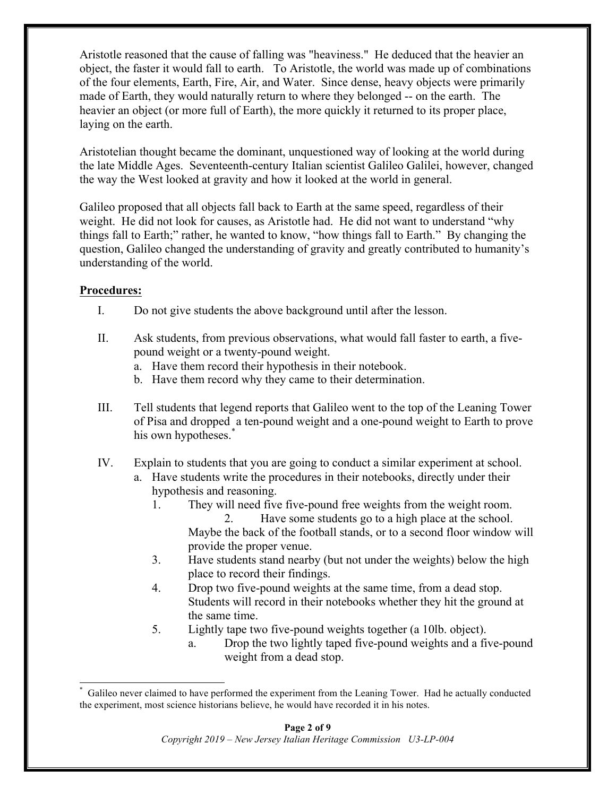Aristotle reasoned that the cause of falling was "heaviness." He deduced that the heavier an object, the faster it would fall to earth. To Aristotle, the world was made up of combinations of the four elements, Earth, Fire, Air, and Water. Since dense, heavy objects were primarily made of Earth, they would naturally return to where they belonged -- on the earth. The heavier an object (or more full of Earth), the more quickly it returned to its proper place, laying on the earth.

Aristotelian thought became the dominant, unquestioned way of looking at the world during the late Middle Ages. Seventeenth-century Italian scientist Galileo Galilei, however, changed the way the West looked at gravity and how it looked at the world in general.

Galileo proposed that all objects fall back to Earth at the same speed, regardless of their weight. He did not look for causes, as Aristotle had. He did not want to understand "why things fall to Earth;" rather, he wanted to know, "how things fall to Earth." By changing the question, Galileo changed the understanding of gravity and greatly contributed to humanity's understanding of the world.

#### **Procedures:**

- I. Do not give students the above background until after the lesson.
- II. Ask students, from previous observations, what would fall faster to earth, a fivepound weight or a twenty-pound weight.
	- a. Have them record their hypothesis in their notebook.
	- b. Have them record why they came to their determination.
- III. Tell students that legend reports that Galileo went to the top of the Leaning Tower of Pisa and dropped a ten-pound weight and a one-pound weight to Earth to prove his own hypotheses.<sup>\*</sup>
- IV. Explain to students that you are going to conduct a similar experiment at school.
	- a. Have students write the procedures in their notebooks, directly under their hypothesis and reasoning.
		- 1. They will need five five-pound free weights from the weight room.
			- 2. Have some students go to a high place at the school. Maybe the back of the football stands, or to a second floor window will provide the proper venue.
		- 3. Have students stand nearby (but not under the weights) below the high place to record their findings.
		- 4. Drop two five-pound weights at the same time, from a dead stop. Students will record in their notebooks whether they hit the ground at the same time.
		- 5. Lightly tape two five-pound weights together (a 10lb. object).
			- a. Drop the two lightly taped five-pound weights and a five-pound weight from a dead stop.

 <sup>\*</sup> Galileo never claimed to have performed the experiment from the Leaning Tower. Had he actually conducted the experiment, most science historians believe, he would have recorded it in his notes.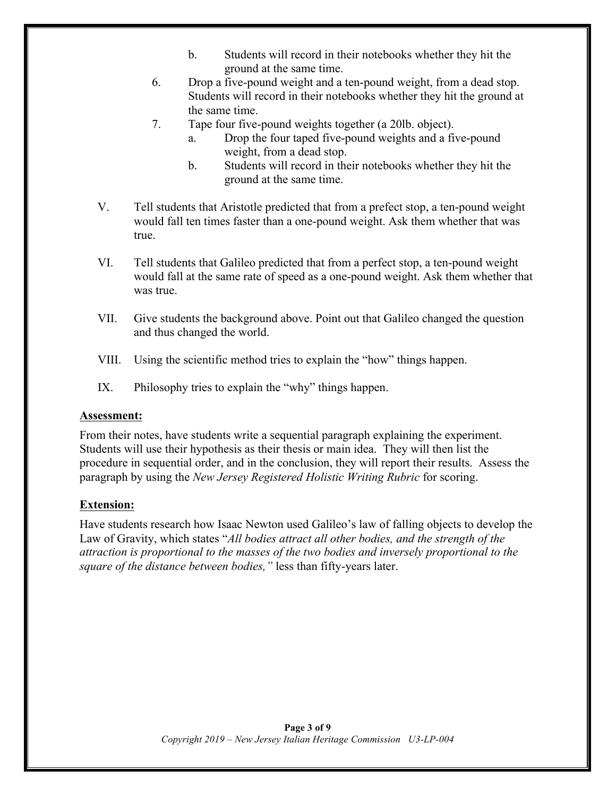- b. Students will record in their notebooks whether they hit the ground at the same time.
- 6. Drop a five-pound weight and a ten-pound weight, from a dead stop. Students will record in their notebooks whether they hit the ground at the same time.
- 7. Tape four five-pound weights together (a 20lb. object).
	- a. Drop the four taped five-pound weights and a five-pound weight, from a dead stop.
	- b. Students will record in their notebooks whether they hit the ground at the same time.
- V. Tell students that Aristotle predicted that from a prefect stop, a ten-pound weight would fall ten times faster than a one-pound weight. Ask them whether that was true.
- VI. Tell students that Galileo predicted that from a perfect stop, a ten-pound weight would fall at the same rate of speed as a one-pound weight. Ask them whether that was true.
- VII. Give students the background above. Point out that Galileo changed the question and thus changed the world.
- VIII. Using the scientific method tries to explain the "how" things happen.
- IX. Philosophy tries to explain the "why" things happen.

#### **Assessment:**

From their notes, have students write a sequential paragraph explaining the experiment. Students will use their hypothesis as their thesis or main idea. They will then list the procedure in sequential order, and in the conclusion, they will report their results. Assess the paragraph by using the *New Jersey Registered Holistic Writing Rubric* for scoring.

#### **Extension:**

Have students research how Isaac Newton used Galileo's law of falling objects to develop the Law of Gravity, which states "*All bodies attract all other bodies, and the strength of the attraction is proportional to the masses of the two bodies and inversely proportional to the square of the distance between bodies,"* less than fifty-years later.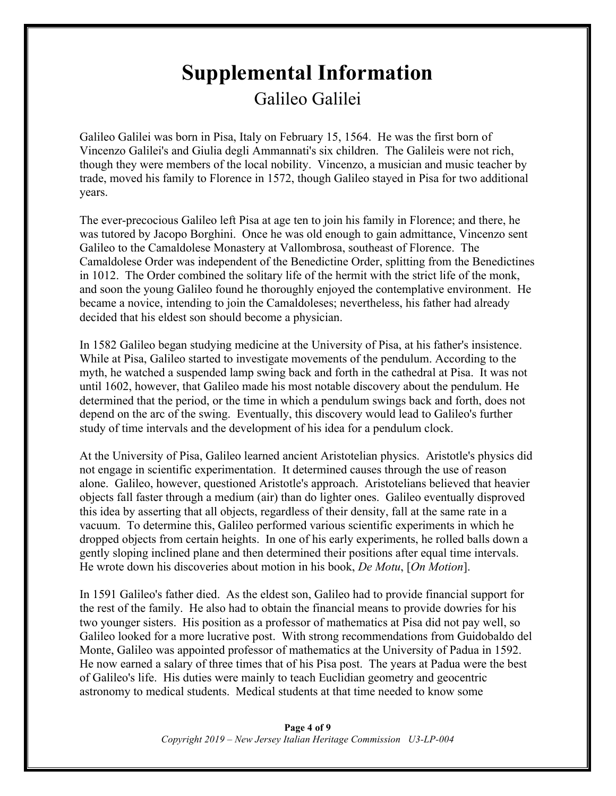# **Supplemental Information** Galileo Galilei

Galileo Galilei was born in Pisa, Italy on February 15, 1564. He was the first born of Vincenzo Galilei's and Giulia degli Ammannati's six children. The Galileis were not rich, though they were members of the local nobility. Vincenzo, a musician and music teacher by trade, moved his family to Florence in 1572, though Galileo stayed in Pisa for two additional years.

The ever-precocious Galileo left Pisa at age ten to join his family in Florence; and there, he was tutored by Jacopo Borghini. Once he was old enough to gain admittance, Vincenzo sent Galileo to the Camaldolese Monastery at Vallombrosa, southeast of Florence. The Camaldolese Order was independent of the Benedictine Order, splitting from the Benedictines in 1012. The Order combined the solitary life of the hermit with the strict life of the monk, and soon the young Galileo found he thoroughly enjoyed the contemplative environment. He became a novice, intending to join the Camaldoleses; nevertheless, his father had already decided that his eldest son should become a physician.

In 1582 Galileo began studying medicine at the University of Pisa, at his father's insistence. While at Pisa, Galileo started to investigate movements of the pendulum. According to the myth, he watched a suspended lamp swing back and forth in the cathedral at Pisa. It was not until 1602, however, that Galileo made his most notable discovery about the pendulum. He determined that the period, or the time in which a pendulum swings back and forth, does not depend on the arc of the swing. Eventually, this discovery would lead to Galileo's further study of time intervals and the development of his idea for a pendulum clock.

At the University of Pisa, Galileo learned ancient Aristotelian physics. Aristotle's physics did not engage in scientific experimentation. It determined causes through the use of reason alone. Galileo, however, questioned Aristotle's approach. Aristotelians believed that heavier objects fall faster through a medium (air) than do lighter ones. Galileo eventually disproved this idea by asserting that all objects, regardless of their density, fall at the same rate in a vacuum. To determine this, Galileo performed various scientific experiments in which he dropped objects from certain heights. In one of his early experiments, he rolled balls down a gently sloping inclined plane and then determined their positions after equal time intervals. He wrote down his discoveries about motion in his book, *De Motu*, [*On Motion*].

In 1591 Galileo's father died. As the eldest son, Galileo had to provide financial support for the rest of the family. He also had to obtain the financial means to provide dowries for his two younger sisters. His position as a professor of mathematics at Pisa did not pay well, so Galileo looked for a more lucrative post. With strong recommendations from Guidobaldo del Monte, Galileo was appointed professor of mathematics at the University of Padua in 1592. He now earned a salary of three times that of his Pisa post. The years at Padua were the best of Galileo's life. His duties were mainly to teach Euclidian geometry and geocentric astronomy to medical students. Medical students at that time needed to know some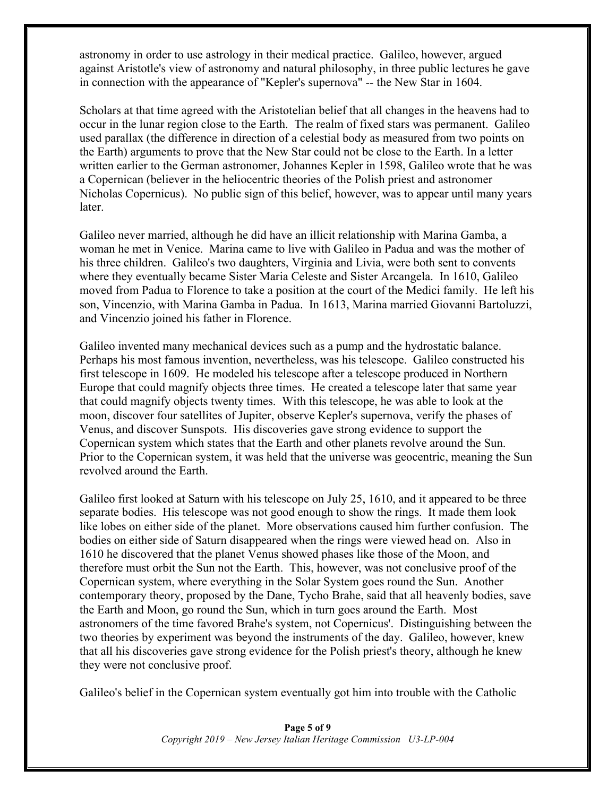astronomy in order to use astrology in their medical practice. Galileo, however, argued against Aristotle's view of astronomy and natural philosophy, in three public lectures he gave in connection with the appearance of "Kepler's supernova" -- the New Star in 1604.

Scholars at that time agreed with the Aristotelian belief that all changes in the heavens had to occur in the lunar region close to the Earth. The realm of fixed stars was permanent. Galileo used parallax (the difference in direction of a celestial body as measured from two points on the Earth) arguments to prove that the New Star could not be close to the Earth. In a letter written earlier to the German astronomer, Johannes Kepler in 1598, Galileo wrote that he was a Copernican (believer in the heliocentric theories of the Polish priest and astronomer Nicholas Copernicus). No public sign of this belief, however, was to appear until many years later.

Galileo never married, although he did have an illicit relationship with Marina Gamba, a woman he met in Venice. Marina came to live with Galileo in Padua and was the mother of his three children. Galileo's two daughters, Virginia and Livia, were both sent to convents where they eventually became Sister Maria Celeste and Sister Arcangela. In 1610, Galileo moved from Padua to Florence to take a position at the court of the Medici family. He left his son, Vincenzio, with Marina Gamba in Padua. In 1613, Marina married Giovanni Bartoluzzi, and Vincenzio joined his father in Florence.

Galileo invented many mechanical devices such as a pump and the hydrostatic balance. Perhaps his most famous invention, nevertheless, was his telescope. Galileo constructed his first telescope in 1609. He modeled his telescope after a telescope produced in Northern Europe that could magnify objects three times. He created a telescope later that same year that could magnify objects twenty times. With this telescope, he was able to look at the moon, discover four satellites of Jupiter, observe Kepler's supernova, verify the phases of Venus, and discover Sunspots. His discoveries gave strong evidence to support the Copernican system which states that the Earth and other planets revolve around the Sun. Prior to the Copernican system, it was held that the universe was geocentric, meaning the Sun revolved around the Earth.

Galileo first looked at Saturn with his telescope on July 25, 1610, and it appeared to be three separate bodies. His telescope was not good enough to show the rings. It made them look like lobes on either side of the planet. More observations caused him further confusion. The bodies on either side of Saturn disappeared when the rings were viewed head on. Also in 1610 he discovered that the planet Venus showed phases like those of the Moon, and therefore must orbit the Sun not the Earth. This, however, was not conclusive proof of the Copernican system, where everything in the Solar System goes round the Sun. Another contemporary theory, proposed by the Dane, Tycho Brahe, said that all heavenly bodies, save the Earth and Moon, go round the Sun, which in turn goes around the Earth. Most astronomers of the time favored Brahe's system, not Copernicus'. Distinguishing between the two theories by experiment was beyond the instruments of the day. Galileo, however, knew that all his discoveries gave strong evidence for the Polish priest's theory, although he knew they were not conclusive proof.

Galileo's belief in the Copernican system eventually got him into trouble with the Catholic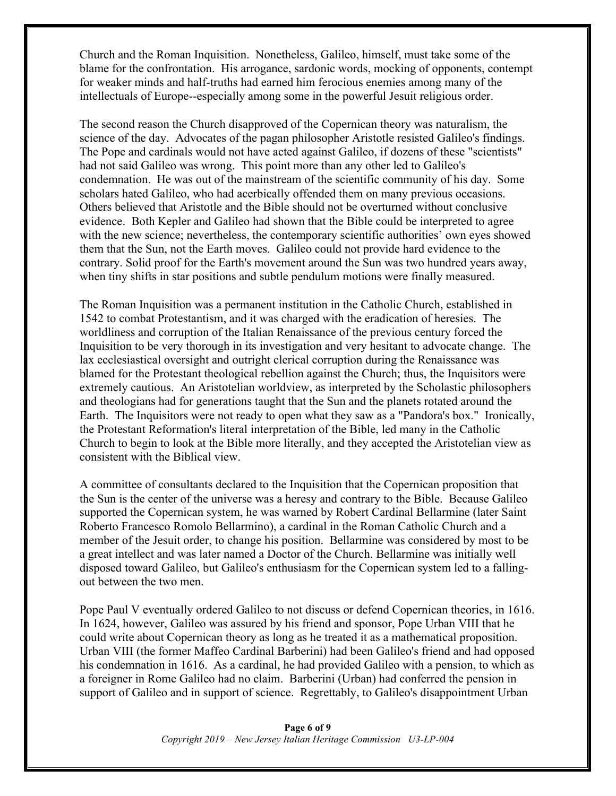Church and the Roman Inquisition. Nonetheless, Galileo, himself, must take some of the blame for the confrontation. His arrogance, sardonic words, mocking of opponents, contempt for weaker minds and half-truths had earned him ferocious enemies among many of the intellectuals of Europe--especially among some in the powerful Jesuit religious order.

The second reason the Church disapproved of the Copernican theory was naturalism, the science of the day. Advocates of the pagan philosopher Aristotle resisted Galileo's findings. The Pope and cardinals would not have acted against Galileo, if dozens of these "scientists" had not said Galileo was wrong. This point more than any other led to Galileo's condemnation. He was out of the mainstream of the scientific community of his day. Some scholars hated Galileo, who had acerbically offended them on many previous occasions. Others believed that Aristotle and the Bible should not be overturned without conclusive evidence. Both Kepler and Galileo had shown that the Bible could be interpreted to agree with the new science; nevertheless, the contemporary scientific authorities' own eyes showed them that the Sun, not the Earth moves. Galileo could not provide hard evidence to the contrary. Solid proof for the Earth's movement around the Sun was two hundred years away, when tiny shifts in star positions and subtle pendulum motions were finally measured.

The Roman Inquisition was a permanent institution in the Catholic Church, established in 1542 to combat Protestantism, and it was charged with the eradication of heresies. The worldliness and corruption of the Italian Renaissance of the previous century forced the Inquisition to be very thorough in its investigation and very hesitant to advocate change. The lax ecclesiastical oversight and outright clerical corruption during the Renaissance was blamed for the Protestant theological rebellion against the Church; thus, the Inquisitors were extremely cautious. An Aristotelian worldview, as interpreted by the Scholastic philosophers and theologians had for generations taught that the Sun and the planets rotated around the Earth. The Inquisitors were not ready to open what they saw as a "Pandora's box." Ironically, the Protestant Reformation's literal interpretation of the Bible, led many in the Catholic Church to begin to look at the Bible more literally, and they accepted the Aristotelian view as consistent with the Biblical view.

A committee of consultants declared to the Inquisition that the Copernican proposition that the Sun is the center of the universe was a heresy and contrary to the Bible. Because Galileo supported the Copernican system, he was warned by Robert Cardinal Bellarmine (later Saint Roberto Francesco Romolo Bellarmino), a cardinal in the Roman Catholic Church and a member of the Jesuit order, to change his position. Bellarmine was considered by most to be a great intellect and was later named a Doctor of the Church. Bellarmine was initially well disposed toward Galileo, but Galileo's enthusiasm for the Copernican system led to a fallingout between the two men.

Pope Paul V eventually ordered Galileo to not discuss or defend Copernican theories, in 1616. In 1624, however, Galileo was assured by his friend and sponsor, Pope Urban VIII that he could write about Copernican theory as long as he treated it as a mathematical proposition. Urban VIII (the former Maffeo Cardinal Barberini) had been Galileo's friend and had opposed his condemnation in 1616. As a cardinal, he had provided Galileo with a pension, to which as a foreigner in Rome Galileo had no claim. Barberini (Urban) had conferred the pension in support of Galileo and in support of science. Regrettably, to Galileo's disappointment Urban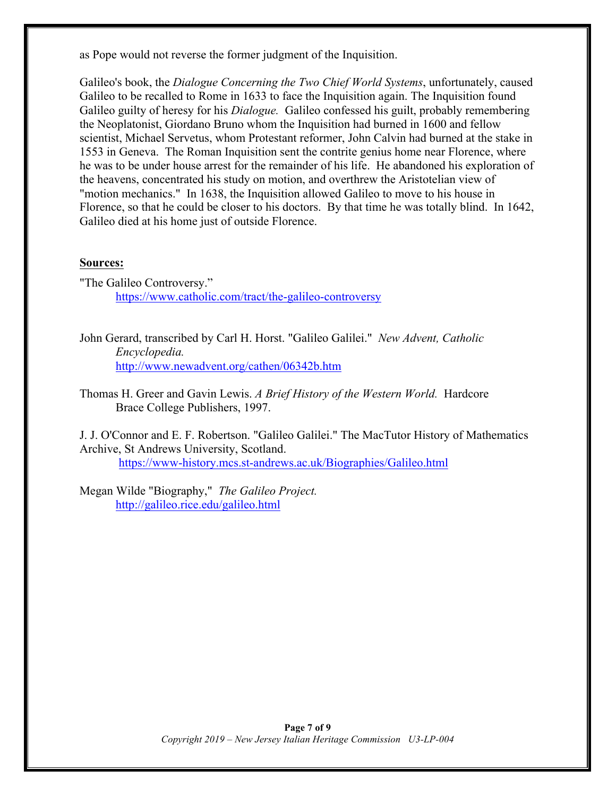as Pope would not reverse the former judgment of the Inquisition.

Galileo's book, the *Dialogue Concerning the Two Chief World Systems*, unfortunately, caused Galileo to be recalled to Rome in 1633 to face the Inquisition again. The Inquisition found Galileo guilty of heresy for his *Dialogue.* Galileo confessed his guilt, probably remembering the Neoplatonist, Giordano Bruno whom the Inquisition had burned in 1600 and fellow scientist, Michael Servetus, whom Protestant reformer, John Calvin had burned at the stake in 1553 in Geneva. The Roman Inquisition sent the contrite genius home near Florence, where he was to be under house arrest for the remainder of his life. He abandoned his exploration of the heavens, concentrated his study on motion, and overthrew the Aristotelian view of "motion mechanics." In 1638, the Inquisition allowed Galileo to move to his house in Florence, so that he could be closer to his doctors. By that time he was totally blind. In 1642, Galileo died at his home just of outside Florence.

#### **Sources:**

- "The Galileo Controversy." https://www.catholic.com/tract/the-galileo-controversy
- John Gerard, transcribed by Carl H. Horst. "Galileo Galilei." *New Advent, Catholic Encyclopedia.* http://www.newadvent.org/cathen/06342b.htm
- Thomas H. Greer and Gavin Lewis. *A Brief History of the Western World.* Hardcore Brace College Publishers, 1997.

J. J. O'Connor and E. F. Robertson. "Galileo Galilei." The MacTutor History of Mathematics Archive, St Andrews University, Scotland. https://www-history.mcs.st-andrews.ac.uk/Biographies/Galileo.html

Megan Wilde "Biography," *The Galileo Project.*  http://galileo.rice.edu/galileo.html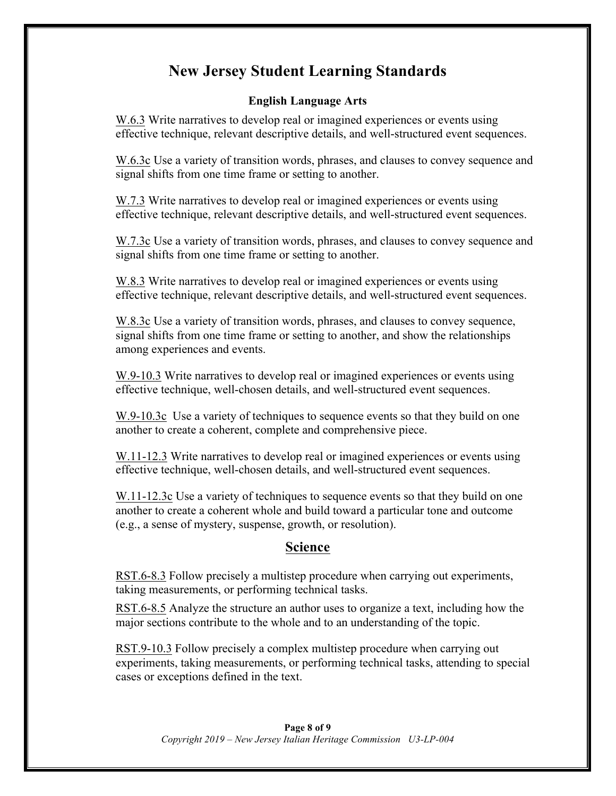# **New Jersey Student Learning Standards**

#### **English Language Arts**

W.6.3 Write narratives to develop real or imagined experiences or events using effective technique, relevant descriptive details, and well-structured event sequences.

W.6.3c Use a variety of transition words, phrases, and clauses to convey sequence and signal shifts from one time frame or setting to another.

W.7.3 Write narratives to develop real or imagined experiences or events using effective technique, relevant descriptive details, and well-structured event sequences.

W.7.3c Use a variety of transition words, phrases, and clauses to convey sequence and signal shifts from one time frame or setting to another.

W.8.3 Write narratives to develop real or imagined experiences or events using effective technique, relevant descriptive details, and well-structured event sequences.

W.8.3c Use a variety of transition words, phrases, and clauses to convey sequence, signal shifts from one time frame or setting to another, and show the relationships among experiences and events.

W.9-10.3 Write narratives to develop real or imagined experiences or events using effective technique, well-chosen details, and well-structured event sequences.

W.9-10.3c Use a variety of techniques to sequence events so that they build on one another to create a coherent, complete and comprehensive piece.

W.11-12.3 Write narratives to develop real or imagined experiences or events using effective technique, well-chosen details, and well-structured event sequences.

W.11-12.3c Use a variety of techniques to sequence events so that they build on one another to create a coherent whole and build toward a particular tone and outcome (e.g., a sense of mystery, suspense, growth, or resolution).

# **Science**

RST.6-8.3 Follow precisely a multistep procedure when carrying out experiments, taking measurements, or performing technical tasks.

RST.6-8.5 Analyze the structure an author uses to organize a text, including how the major sections contribute to the whole and to an understanding of the topic.

RST.9-10.3 Follow precisely a complex multistep procedure when carrying out experiments, taking measurements, or performing technical tasks, attending to special cases or exceptions defined in the text.